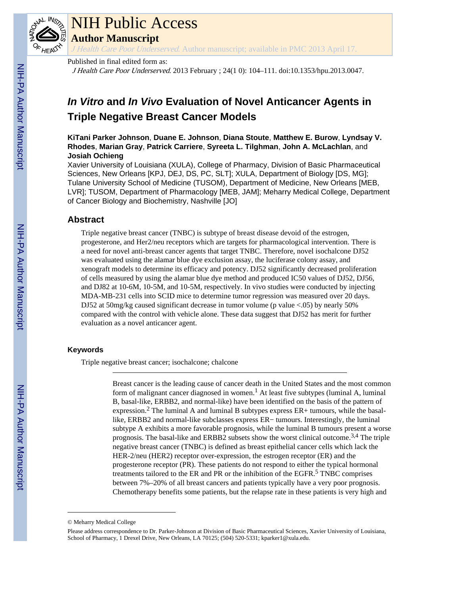

# NIH Public Access

**Author Manuscript**

J Health Care Poor Underserved. Author manuscript; available in PMC 2013 April 17.

Published in final edited form as:

J Health Care Poor Underserved. 2013 February ; 24(1 0): 104–111. doi:10.1353/hpu.2013.0047.

# *In Vitro* **and** *In Vivo* **Evaluation of Novel Anticancer Agents in Triple Negative Breast Cancer Models**

**KiTani Parker Johnson**, **Duane E. Johnson**, **Diana Stoute**, **Matthew E. Burow**, **Lyndsay V. Rhodes**, **Marian Gray**, **Patrick Carriere**, **Syreeta L. Tilghman**, **John A. McLachlan**, and **Josiah Ochieng**

Xavier University of Louisiana (XULA), College of Pharmacy, Division of Basic Pharmaceutical Sciences, New Orleans [KPJ, DEJ, DS, PC, SLT]; XULA, Department of Biology [DS, MG]; Tulane University School of Medicine (TUSOM), Department of Medicine, New Orleans [MEB, LVR]; TUSOM, Department of Pharmacology [MEB, JAM]; Meharry Medical College, Department of Cancer Biology and Biochemistry, Nashville [JO]

# **Abstract**

Triple negative breast cancer (TNBC) is subtype of breast disease devoid of the estrogen, progesterone, and Her2/neu receptors which are targets for pharmacological intervention. There is a need for novel anti-breast cancer agents that target TNBC. Therefore, novel isochalcone DJ52 was evaluated using the alamar blue dye exclusion assay, the luciferase colony assay, and xenograft models to determine its efficacy and potency. DJ52 significantly decreased proliferation of cells measured by using the alamar blue dye method and produced IC50 values of DJ52, DJ56, and DJ82 at 10-6M, 10-5M, and 10-5M, respectively. In vivo studies were conducted by injecting MDA-MB-231 cells into SCID mice to determine tumor regression was measured over 20 days. DJ52 at 50mg/kg caused significant decrease in tumor volume (p value <.05) by nearly 50% compared with the control with vehicle alone. These data suggest that DJ52 has merit for further evaluation as a novel anticancer agent.

### **Keywords**

Triple negative breast cancer; isochalcone; chalcone

Breast cancer is the leading cause of cancer death in the United States and the most common form of malignant cancer diagnosed in women.<sup>1</sup> At least five subtypes (luminal A, luminal B, basal-like, ERBB2, and normal-like) have been identified on the basis of the pattern of expression.<sup>2</sup> The luminal A and luminal B subtypes express ER+ tumours, while the basallike, ERBB2 and normal-like subclasses express ER− tumours. Interestingly, the luminal subtype A exhibits a more favorable prognosis, while the luminal B tumours present a worse prognosis. The basal-like and ERBB2 subsets show the worst clinical outcome.3,4 The triple negative breast cancer (TNBC) is defined as breast epithelial cancer cells which lack the HER-2/neu (HER2) receptor over-expression, the estrogen receptor (ER) and the progesterone receptor (PR). These patients do not respond to either the typical hormonal treatments tailored to the ER and PR or the inhibition of the EGFR.<sup>5</sup> TNBC comprises between 7%–20% of all breast cancers and patients typically have a very poor prognosis. Chemotherapy benefits some patients, but the relapse rate in these patients is very high and

<sup>©</sup> Meharry Medical College

Please address correspondence to Dr. Parker-Johnson at Division of Basic Pharmaceutical Sciences, Xavier University of Louisiana, School of Pharmacy, 1 Drexel Drive, New Orleans, LA 70125; (504) 520-5331; kparker1@xula.edu.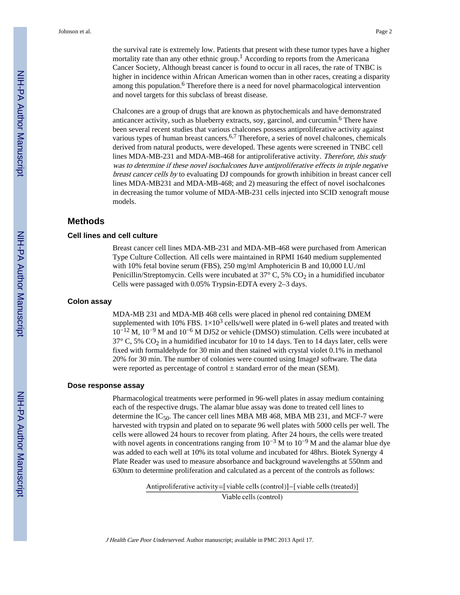the survival rate is extremely low. Patients that present with these tumor types have a higher mortality rate than any other ethnic group.<sup>1</sup> According to reports from the Americana Cancer Society, Although breast cancer is found to occur in all races, the rate of TNBC is higher in incidence within African American women than in other races, creating a disparity among this population.<sup>6</sup> Therefore there is a need for novel pharmacological intervention and novel targets for this subclass of breast disease.

Chalcones are a group of drugs that are known as phytochemicals and have demonstrated anticancer activity, such as blueberry extracts, soy, garcinol, and curcumin.<sup>6</sup> There have been several recent studies that various chalcones possess antiproliferative activity against various types of human breast cancers.6,7 Therefore, a series of novel chalcones, chemicals derived from natural products, were developed. These agents were screened in TNBC cell lines MDA-MB-231 and MDA-MB-468 for antiproliferative activity. Therefore, this study was to determine if these novel isochalcones have antiproliferative effects in triple negative breast cancer cells by to evaluating DJ compounds for growth inhibition in breast cancer cell lines MDA-MB231 and MDA-MB-468; and 2) measuring the effect of novel isochalcones in decreasing the tumor volume of MDA-MB-231 cells injected into SCID xenograft mouse models.

# **Methods**

#### **Cell lines and cell culture**

Breast cancer cell lines MDA-MB-231 and MDA-MB-468 were purchased from American Type Culture Collection. All cells were maintained in RPMI 1640 medium supplemented with 10% fetal bovine serum (FBS), 250 mg/ml Amphotericin B and 10,000 I.U./ml Penicillin/Streptomycin. Cells were incubated at  $37^{\circ}$  C,  $5\%$  CO<sub>2</sub> in a humidified incubator Cells were passaged with 0.05% Trypsin-EDTA every 2–3 days.

#### **Colon assay**

MDA-MB 231 and MDA-MB 468 cells were placed in phenol red containing DMEM supplemented with 10% FBS.  $1\times10^3$  cells/well were plated in 6-well plates and treated with  $10^{-12}$  M,  $10^{-9}$  M and  $10^{-6}$  M DJ52 or vehicle (DMSO) stimulation. Cells were incubated at  $37^{\circ}$  C, 5% CO<sub>2</sub> in a humidified incubator for 10 to 14 days. Ten to 14 days later, cells were fixed with formaldehyde for 30 min and then stained with crystal violet 0.1% in methanol 20% for 30 min. The number of colonies were counted using ImageJ software. The data were reported as percentage of control  $\pm$  standard error of the mean (SEM).

#### **Dose response assay**

Pharmacological treatments were performed in 96-well plates in assay medium containing each of the respective drugs. The alamar blue assay was done to treated cell lines to determine the IC<sub>50</sub>. The cancer cell lines MBA MB 468, MBA MB 231, and MCF-7 were harvested with trypsin and plated on to separate 96 well plates with 5000 cells per well. The cells were allowed 24 hours to recover from plating. After 24 hours, the cells were treated with novel agents in concentrations ranging from  $10^{-3}$  M to  $10^{-9}$  M and the alamar blue dye was added to each well at 10% its total volume and incubated for 48hrs. Biotek Synergy 4 Plate Reader was used to measure absorbance and background wavelengths at 550nm and 630nm to determine proliferation and calculated as a percent of the controls as follows:

> Antiproliferative activity=[viable cells (control)]-[viable cells (treated)] Viable cells (control)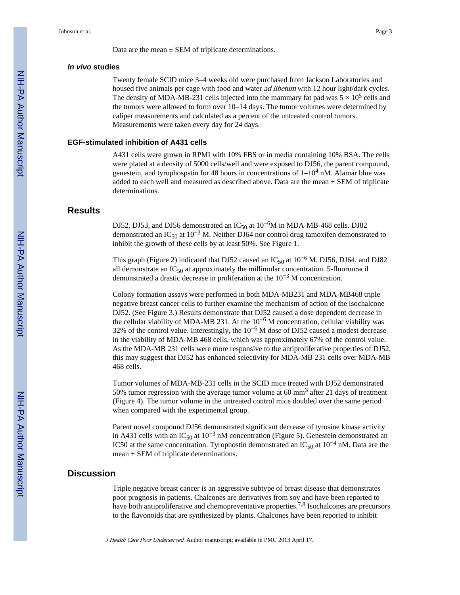Data are the mean  $\pm$  SEM of triplicate determinations.

#### *In vivo* **studies**

Twenty female SCID mice 3–4 weeks old were purchased from Jackson Laboratories and housed five animals per cage with food and water *ad libetum* with 12 hour light/dark cycles. The density of MDA-MB-231 cells injected into the mammary fat pad was  $5 \times 10^5$  cells and the tumors were allowed to form over 10–14 days. The tumor volumes were determined by caliper measurements and calculated as a percent of the untreated control tumors. Measurements were taken every day for 24 days.

#### **EGF-stimulated inhibition of A431 cells**

A431 cells were grown in RPMI with 10% FBS or in media containing 10% BSA. The cells were plated at a density of 5000 cells/well and were exposed to DJ56, the parent compound, genestein, and tyrophospstin for 48 hours in concentrations of  $1-10^4$  nM. Alamar blue was added to each well and measured as described above. Data are the mean  $\pm$  SEM of triplicate determinations.

# **Results**

DJ52, DJ53, and DJ56 demonstrated an  $IC_{50}$  at 10<sup>-6</sup>M in MDA-MB-468 cells. DJ82 demonstrated an IC<sub>50</sub> at 10<sup>-3</sup> M. Neither DJ64 nor control drug tamoxifen demonstrated to inhibit the growth of these cells by at least 50%. See Figure 1.

This graph (Figure 2) indicated that DJ52 caused an  $IC_{50}$  at  $10^{-6}$  M. DJ56, DJ64, and DJ82 all demonstrate an  $IC_{50}$  at approximately the millimolar concentration. 5-fluorouracil demonstrated a drastic decrease in proliferation at the 10−3 M concentration.

Colony formation assays were performed in both MDA-MB231 and MDA-MB468 triple negative breast cancer cells to further examine the mechanism of action of the isochalcone DJ52. (See Figure 3.) Results demonstrate that DJ52 caused a dose dependent decrease in the cellular viability of MDA-MB 231. At the  $10^{-6}$  M concentration, cellular viability was 32% of the control value. Interestingly, the 10−6 M dose of DJ52 caused a modest decrease in the viability of MDA-MB 468 cells, which was approximately 67% of the control value. As the MDA-MB 231 cells were more responsive to the antiproliferative properties of DJ52, this may suggest that DJ52 has enhanced selectivity for MDA-MB 231 cells over MDA-MB 468 cells.

Tumor volumes of MDA-MB-231 cells in the SCID mice treated with DJ52 demonstrated 50% tumor regression with the average tumor volume at 60 mm<sup>3</sup> after 21 days of treatment (Figure 4). The tumor volume in the untreated control mice doubled over the same period when compared with the experimental group.

Parent novel compound DJ56 demonstrated significant decrease of tyrosine kinase activity in A431 cells with an IC<sub>50</sub> at 10<sup>-3</sup> nM concentration (Figure 5). Genestein demonstrated an IC50 at the same concentration. Tyrophostin demonstrated an IC<sub>50</sub> at  $10^{-4}$  nM. Data are the  $mean \pm SEM$  of triplicate determinations.

#### **Discussion**

Triple negative breast cancer is an aggressive subtype of breast disease that demonstrates poor prognosis in patients. Chalcones are derivatives from soy and have been reported to have both antiproliferative and chemopreventative properties.<sup>7,8</sup> Isochalcones are precursors to the flavonoids that are synthesized by plants. Chalcones have been reported to inhibit

J Health Care Poor Underserved. Author manuscript; available in PMC 2013 April 17.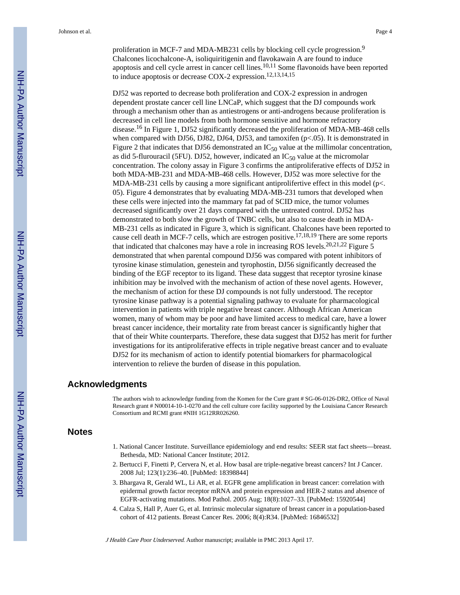proliferation in MCF-7 and MDA-MB231 cells by blocking cell cycle progression.<sup>9</sup> Chalcones licochalcone-A, isoliquiritigenin and flavokawain A are found to induce apoptosis and cell cycle arrest in cancer cell lines.10,11 Some flavonoids have been reported to induce apoptosis or decrease COX-2 expression.12,13,14,15

DJ52 was reported to decrease both proliferation and COX-2 expression in androgen dependent prostate cancer cell line LNCaP, which suggest that the DJ compounds work through a mechanism other than as antiestrogens or anti-androgens because proliferation is decreased in cell line models from both hormone sensitive and hormone refractory disease.16 In Figure 1, DJ52 significantly decreased the proliferation of MDA-MB-468 cells when compared with DJ56, DJ82, DJ64, DJ53, and tamoxifen (p<.05). It is demonstrated in Figure 2 that indicates that DJ56 demonstrated an  $IC_{50}$  value at the millimolar concentration, as did 5-flurouracil (5FU). DJ52, however, indicated an  $IC_{50}$  value at the micromolar concentration. The colony assay in Figure 3 confirms the antiproliferative effects of DJ52 in both MDA-MB-231 and MDA-MB-468 cells. However, DJ52 was more selective for the MDA-MB-231 cells by causing a more significant antiprolifertive effect in this model (p<. 05). Figure 4 demonstrates that by evaluating MDA-MB-231 tumors that developed when these cells were injected into the mammary fat pad of SCID mice, the tumor volumes decreased significantly over 21 days compared with the untreated control. DJ52 has demonstrated to both slow the growth of TNBC cells, but also to cause death in MDA-MB-231 cells as indicated in Figure 3, which is significant. Chalcones have been reported to cause cell death in MCF-7 cells, which are estrogen positive.17,18,19 There are some reports that indicated that chalcones may have a role in increasing ROS levels.<sup>20,21,22</sup> Figure 5 demonstrated that when parental compound DJ56 was compared with potent inhibitors of tyrosine kinase stimulation, genestein and tyrophostin, DJ56 significantly decreased the binding of the EGF receptor to its ligand. These data suggest that receptor tyrosine kinase inhibition may be involved with the mechanism of action of these novel agents. However, the mechanism of action for these DJ compounds is not fully understood. The receptor tyrosine kinase pathway is a potential signaling pathway to evaluate for pharmacological intervention in patients with triple negative breast cancer. Although African American women, many of whom may be poor and have limited access to medical care, have a lower breast cancer incidence, their mortality rate from breast cancer is significantly higher that that of their White counterparts. Therefore, these data suggest that DJ52 has merit for further investigations for its antiproliferative effects in triple negative breast cancer and to evaluate DJ52 for its mechanism of action to identify potential biomarkers for pharmacological intervention to relieve the burden of disease in this population.

# **Acknowledgments**

The authors wish to acknowledge funding from the Komen for the Cure grant # SG-06-0126-DR2, Office of Naval Research grant # N00014-10-1-0270 and the cell culture core facility supported by the Louisiana Cancer Research Consortium and RCMI grant #NIH 1G12RR026260.

#### **Notes**

- 1. National Cancer Institute. Surveillance epidemiology and end results: SEER stat fact sheets—breast. Bethesda, MD: National Cancer Institute; 2012.
- 2. Bertucci F, Finetti P, Cervera N, et al. How basal are triple-negative breast cancers? Int J Cancer. 2008 Jul; 123(1):236–40. [PubMed: 18398844]
- 3. Bhargava R, Gerald WL, Li AR, et al. EGFR gene amplification in breast cancer: correlation with epidermal growth factor receptor mRNA and protein expression and HER-2 status and absence of EGFR-activating mutations. Mod Pathol. 2005 Aug; 18(8):1027–33. [PubMed: 15920544]
- 4. Calza S, Hall P, Auer G, et al. Intrinsic molecular signature of breast cancer in a population-based cohort of 412 patients. Breast Cancer Res. 2006; 8(4):R34. [PubMed: 16846532]

J Health Care Poor Underserved. Author manuscript; available in PMC 2013 April 17.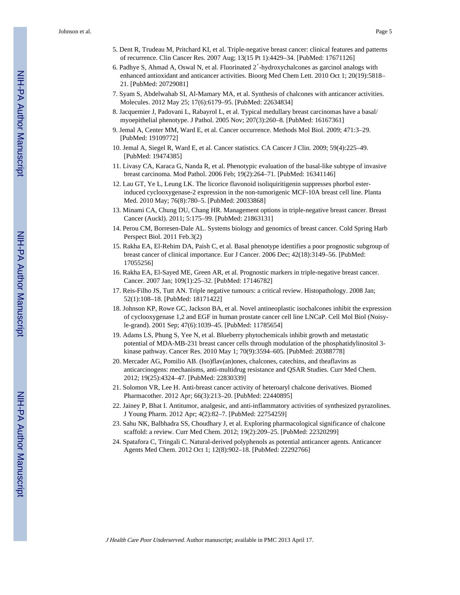- 5. Dent R, Trudeau M, Pritchard KI, et al. Triple-negative breast cancer: clinical features and patterns of recurrence. Clin Cancer Res. 2007 Aug; 13(15 Pt 1):4429–34. [PubMed: 17671126]
- 6. Padhye S, Ahmad A, Oswal N, et al. Fluorinated 2′-hydroxychalcones as garcinol analogs with enhanced antioxidant and anticancer activities. Bioorg Med Chem Lett. 2010 Oct 1; 20(19):5818– 21. [PubMed: 20729081]
- 7. Syam S, Abdelwahab SI, Al-Mamary MA, et al. Synthesis of chalcones with anticancer activities. Molecules. 2012 May 25; 17(6):6179–95. [PubMed: 22634834]
- 8. Jacquemier J, Padovani L, Rabayrol L, et al. Typical medullary breast carcinomas have a basal/ myoepithelial phenotype. J Pathol. 2005 Nov; 207(3):260–8. [PubMed: 16167361]
- 9. Jemal A, Center MM, Ward E, et al. Cancer occurrence. Methods Mol Biol. 2009; 471:3–29. [PubMed: 19109772]
- 10. Jemal A, Siegel R, Ward E, et al. Cancer statistics. CA Cancer J Clin. 2009; 59(4):225–49. [PubMed: 19474385]
- 11. Livasy CA, Karaca G, Nanda R, et al. Phenotypic evaluation of the basal-like subtype of invasive breast carcinoma. Mod Pathol. 2006 Feb; 19(2):264–71. [PubMed: 16341146]
- 12. Lau GT, Ye L, Leung LK. The licorice flavonoid isoliquiritigenin suppresses phorbol esterinduced cyclooxygenase-2 expression in the non-tumorigenic MCF-10A breast cell line. Planta Med. 2010 May; 76(8):780–5. [PubMed: 20033868]
- 13. Minami CA, Chung DU, Chang HR. Management options in triple-negative breast cancer. Breast Cancer (Auckl). 2011; 5:175–99. [PubMed: 21863131]
- 14. Perou CM, Borresen-Dale AL. Systems biology and genomics of breast cancer. Cold Spring Harb Perspect Biol. 2011 Feb.3(2)
- 15. Rakha EA, El-Rehim DA, Paish C, et al. Basal phenotype identifies a poor prognostic subgroup of breast cancer of clinical importance. Eur J Cancer. 2006 Dec; 42(18):3149–56. [PubMed: 17055256]
- 16. Rakha EA, El-Sayed ME, Green AR, et al. Prognostic markers in triple-negative breast cancer. Cancer. 2007 Jan; 109(1):25–32. [PubMed: 17146782]
- 17. Reis-Filho JS, Tutt AN. Triple negative tumours: a critical review. Histopathology. 2008 Jan; 52(1):108–18. [PubMed: 18171422]
- 18. Johnson KP, Rowe GC, Jackson BA, et al. Novel antineoplastic isochalcones inhibit the expression of cyclooxygenase 1,2 and EGF in human prostate cancer cell line LNCaP. Cell Mol Biol (Noisyle-grand). 2001 Sep; 47(6):1039–45. [PubMed: 11785654]
- 19. Adams LS, Phung S, Yee N, et al. Blueberry phytochemicals inhibit growth and metastatic potential of MDA-MB-231 breast cancer cells through modulation of the phosphatidylinositol 3 kinase pathway. Cancer Res. 2010 May 1; 70(9):3594–605. [PubMed: 20388778]
- 20. Mercader AG, Pomilio AB. (Iso)flav(an)ones, chalcones, catechins, and theaflavins as anticarcinogens: mechanisms, anti-multidrug resistance and QSAR Studies. Curr Med Chem. 2012; 19(25):4324–47. [PubMed: 22830339]
- 21. Solomon VR, Lee H. Anti-breast cancer activity of heteroaryl chalcone derivatives. Biomed Pharmacother. 2012 Apr; 66(3):213–20. [PubMed: 22440895]
- 22. Jainey P, Bhat I. Antitumor, analgesic, and anti-inflammatory activities of synthesized pyrazolines. J Young Pharm. 2012 Apr; 4(2):82–7. [PubMed: 22754259]
- 23. Sahu NK, Balbhadra SS, Choudhary J, et al. Exploring pharmacological significance of chalcone scaffold: a review. Curr Med Chem. 2012; 19(2):209–25. [PubMed: 22320299]
- 24. Spatafora C, Tringali C. Natural-derived polyphenols as potential anticancer agents. Anticancer Agents Med Chem. 2012 Oct 1; 12(8):902–18. [PubMed: 22292766]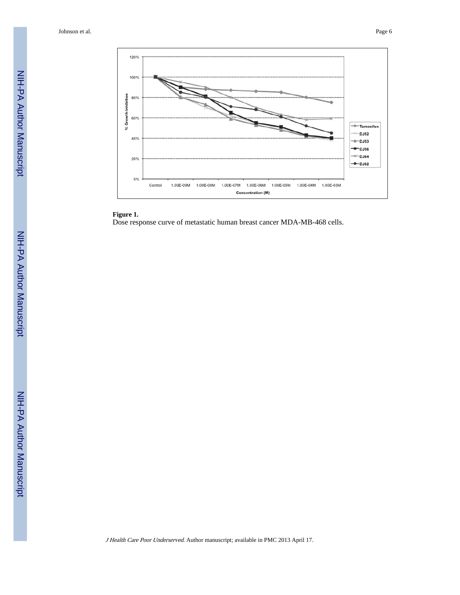

# **Figure 1.**

Dose response curve of metastatic human breast cancer MDA-MB-468 cells.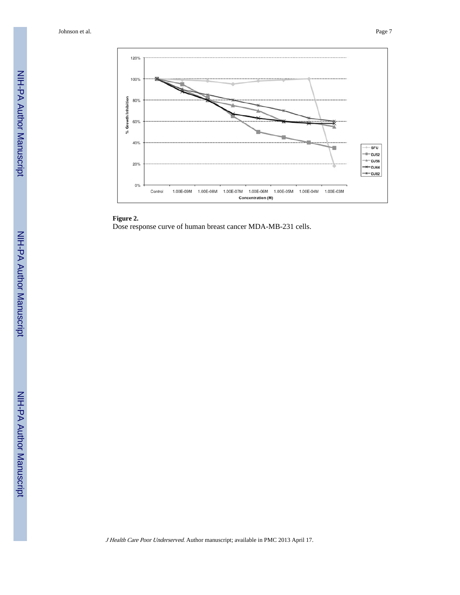

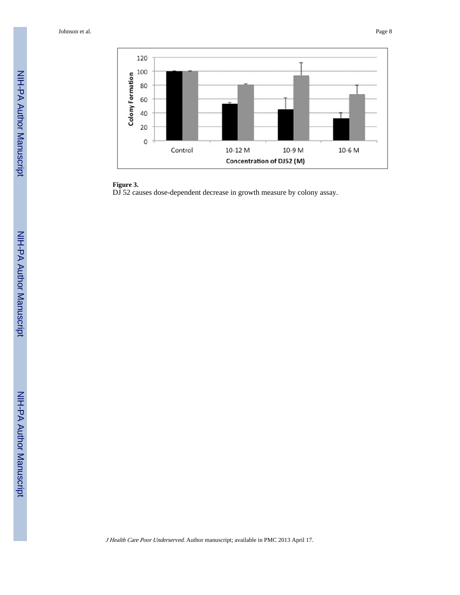

# **Figure 3.**

DJ 52 causes dose-dependent decrease in growth measure by colony assay.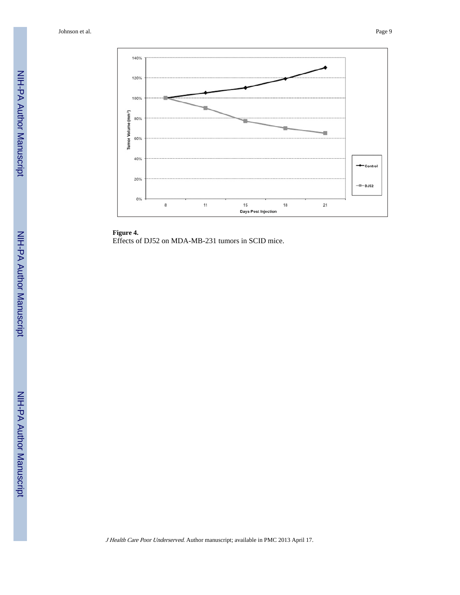

**Figure 4.** Effects of DJ52 on MDA-MB-231 tumors in SCID mice.

J Health Care Poor Underserved. Author manuscript; available in PMC 2013 April 17.